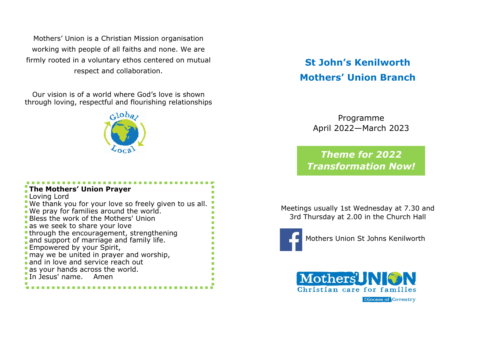Mothers' Union is a Christian Mission organisation working with people of all faiths and none. We are firmly rooted in a voluntary ethos centered on mutual respect and collaboration.

Our vision is of a world where God's love is shown through loving, respectful and flourishing relationships



| The Mothers' Union Prayer<br><b>Loving Lord</b>                                                 |
|-------------------------------------------------------------------------------------------------|
| We thank you for your love so freely given to us all.<br>We pray for families around the world. |
| <b>Bless the work of the Mothers' Union</b><br>as we seek to share your love                    |
| <b>-through the encouragement, strengthening</b>                                                |
| and support of marriage and family life.<br><b>Empowered by your Spirit,</b>                    |
| may we be united in prayer and worship,                                                         |
| and in love and service reach out<br>as your hands across the world.                            |
| In Jesus' name. Amen                                                                            |

## **St John's Kenilworth Mothers' Union Branch**

Programme April 2022—March 2023

*Theme for 2022 Transformation Now!*

Meetings usually 1st Wednesday at 7.30 and 3rd Thursday at 2.00 in the Church Hall



Mothers Union St Johns Kenilworth